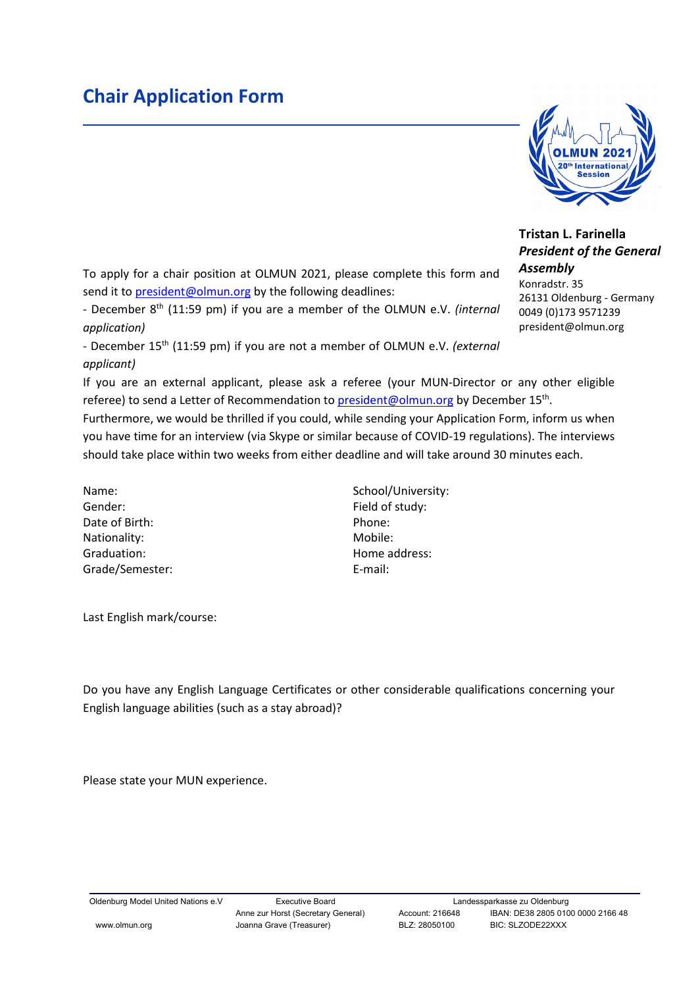## **Chair Application Form**

**starnations**  $\frac{1}{\sqrt{2}}$ ww.olmun.org

## **Tristan L. Farinella** *President of the General Assembly*

26131 Oldenburg - Germany 0049 (0)173 9571239 president@olmun.org

Konradstr. 35

To apply for a chair position at OLMUN 2021, please complete this form and send it to [president@olmun.org](mailto:president@olmun.org) by the following deadlines:

- December 8th (11:59 pm) if you are a member of the OLMUN e.V. *(internal application)*

- December 15th (11:59 pm) if you are not a member of OLMUN e.V. *(external applicant)*

If you are an external applicant, please ask a referee (your MUN-Director or any other eligible referee) to send a Letter of Recommendation to [president@olmun.org](mailto:president@olmun.org) by December 15<sup>th</sup>.

Furthermore, we would be thrilled if you could, while sending your Application Form, inform us when you have time for an interview (via Skype or similar because of COVID-19 regulations). The interviews should take place within two weeks from either deadline and will take around 30 minutes each.

Name: School/University: Gender: Field of study: Date of Birth: Phone: Phone: Phone: Phone: Phone: Phone: Phone: Phone: Phone: Phone: Phone: Phone: Phone: Phone: Phone: Phone: Phone: Phone: Phone: Phone: Phone: Phone: Phone: Phone: Phone: Phone: Phone: Phone: Phone: Phon Nationality: Mobile: Mobile: Mobile: Mobile: Mobile: Mobile: Mobile: Mobile: Mobile: Mobile:  $\blacksquare$ Graduation: **Graduation: Home address:** Grade/Semester: E-mail:

Last English mark/course:

Do you have any English Language Certificates or other considerable qualifications concerning your English language abilities (such as a stay abroad)?

Please state your MUN experience.